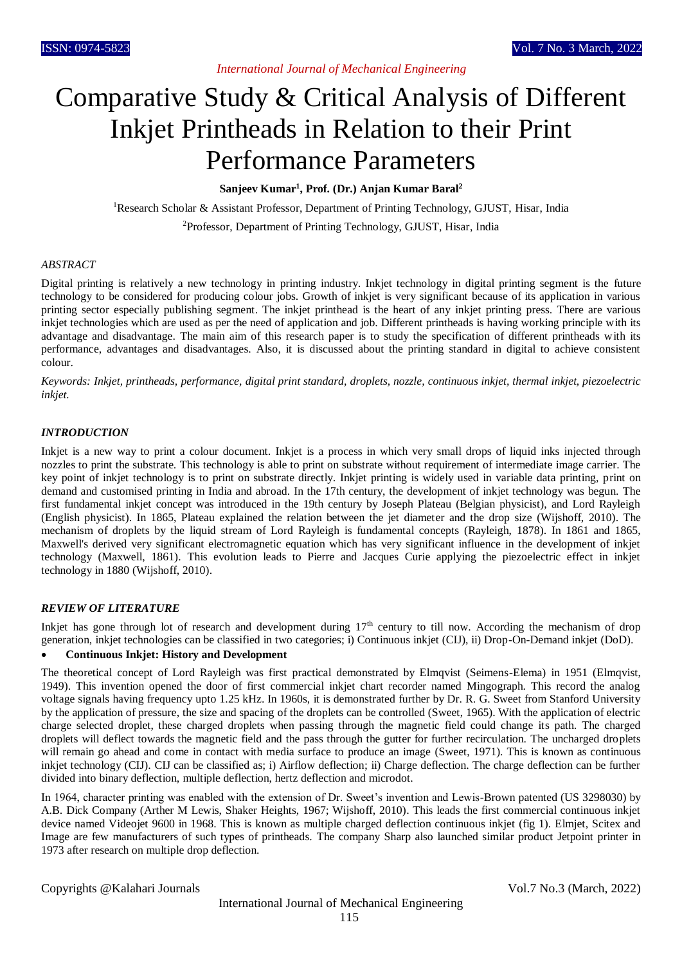# Comparative Study & Critical Analysis of Different Inkjet Printheads in Relation to their Print Performance Parameters

**Sanjeev Kumar<sup>1</sup> , Prof. (Dr.) Anjan Kumar Baral<sup>2</sup>**

<sup>1</sup>Research Scholar & Assistant Professor, Department of Printing Technology, GJUST, Hisar, India

<sup>2</sup>Professor, Department of Printing Technology, GJUST, Hisar, India

### *ABSTRACT*

Digital printing is relatively a new technology in printing industry. Inkjet technology in digital printing segment is the future technology to be considered for producing colour jobs. Growth of inkjet is very significant because of its application in various printing sector especially publishing segment. The inkjet printhead is the heart of any inkjet printing press. There are various inkjet technologies which are used as per the need of application and job. Different printheads is having working principle with its advantage and disadvantage. The main aim of this research paper is to study the specification of different printheads with its performance, advantages and disadvantages. Also, it is discussed about the printing standard in digital to achieve consistent colour.

*Keywords: Inkjet, printheads, performance, digital print standard, droplets, nozzle, continuous inkjet, thermal inkjet, piezoelectric inkjet.*

### *INTRODUCTION*

Inkjet is a new way to print a colour document. Inkjet is a process in which very small drops of liquid inks injected through nozzles to print the substrate. This technology is able to print on substrate without requirement of intermediate image carrier. The key point of inkjet technology is to print on substrate directly. Inkjet printing is widely used in variable data printing, print on demand and customised printing in India and abroad. In the 17th century, the development of inkjet technology was begun. The first fundamental inkjet concept was introduced in the 19th century by Joseph Plateau (Belgian physicist), and Lord Rayleigh (English physicist). In 1865, Plateau explained the relation between the jet diameter and the drop size (Wijshoff, 2010). The mechanism of droplets by the liquid stream of Lord Rayleigh is fundamental concepts (Rayleigh, 1878). In 1861 and 1865, Maxwell's derived very significant electromagnetic equation which has very significant influence in the development of inkjet technology (Maxwell, 1861). This evolution leads to Pierre and Jacques Curie applying the piezoelectric effect in inkjet technology in 1880 (Wijshoff, 2010).

#### *REVIEW OF LITERATURE*

Inkjet has gone through lot of research and development during  $17<sup>th</sup>$  century to till now. According the mechanism of drop generation, inkjet technologies can be classified in two categories; i) Continuous inkjet (CIJ), ii) Drop-On-Demand inkjet (DoD).

### **Continuous Inkjet: History and Development**

The theoretical concept of Lord Rayleigh was first practical demonstrated by Elmqvist (Seimens-Elema) in 1951 (Elmqvist, 1949). This invention opened the door of first commercial inkjet chart recorder named Mingograph. This record the analog voltage signals having frequency upto 1.25 kHz. In 1960s, it is demonstrated further by Dr. R. G. Sweet from Stanford University by the application of pressure, the size and spacing of the droplets can be controlled (Sweet, 1965). With the application of electric charge selected droplet, these charged droplets when passing through the magnetic field could change its path. The charged droplets will deflect towards the magnetic field and the pass through the gutter for further recirculation. The uncharged droplets will remain go ahead and come in contact with media surface to produce an image (Sweet, 1971). This is known as continuous inkjet technology (CIJ). CIJ can be classified as; i) Airflow deflection; ii) Charge deflection. The charge deflection can be further divided into binary deflection, multiple deflection, hertz deflection and microdot.

In 1964, character printing was enabled with the extension of Dr. Sweet's invention and Lewis-Brown patented (US 3298030) by A.B. Dick Company (Arther M Lewis, Shaker Heights, 1967; Wijshoff, 2010). This leads the first commercial continuous inkjet device named Videojet 9600 in 1968. This is known as multiple charged deflection continuous inkjet (fig 1)*.* Elmjet, Scitex and Image are few manufacturers of such types of printheads. The company Sharp also launched similar product Jetpoint printer in 1973 after research on multiple drop deflection.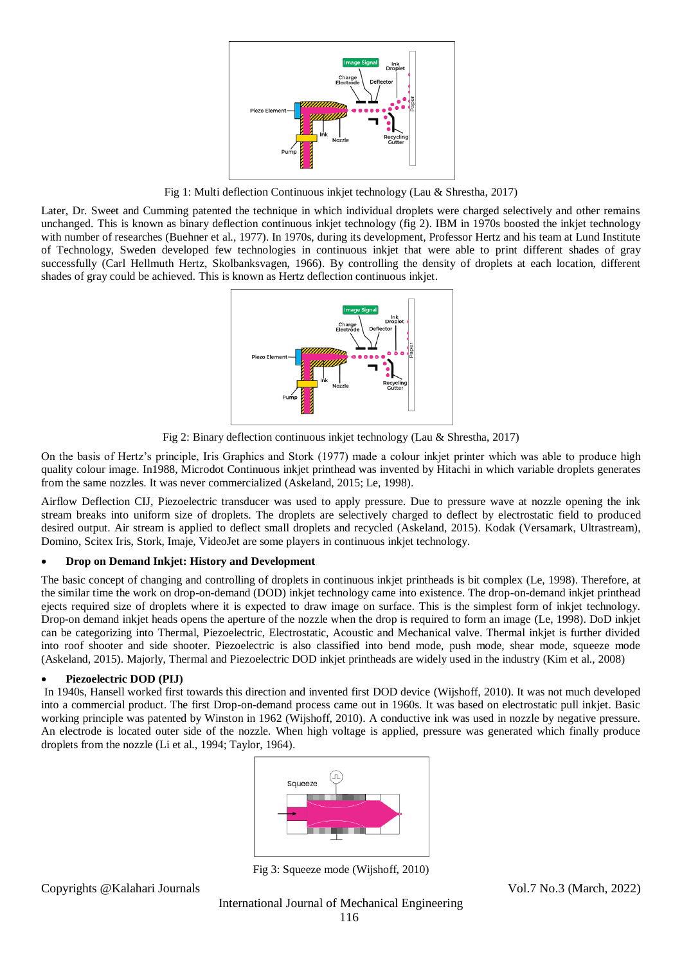

Fig 1: Multi deflection Continuous inkjet technology (Lau & Shrestha, 2017)

Later, Dr. Sweet and Cumming patented the technique in which individual droplets were charged selectively and other remains unchanged. This is known as binary deflection continuous inkjet technology (fig 2). IBM in 1970s boosted the inkjet technology with number of researches (Buehner et al., 1977). In 1970s, during its development, Professor Hertz and his team at Lund Institute of Technology, Sweden developed few technologies in continuous inkjet that were able to print different shades of gray successfully (Carl Hellmuth Hertz, Skolbanksvagen, 1966). By controlling the density of droplets at each location, different shades of gray could be achieved. This is known as Hertz deflection continuous inkjet.



Fig 2: Binary deflection continuous inkjet technology (Lau & Shrestha, 2017)

On the basis of Hertz's principle, Iris Graphics and Stork (1977) made a colour inkjet printer which was able to produce high quality colour image. In1988, Microdot Continuous inkjet printhead was invented by Hitachi in which variable droplets generates from the same nozzles. It was never commercialized (Askeland, 2015; Le, 1998).

Airflow Deflection CIJ*,* Piezoelectric transducer was used to apply pressure. Due to pressure wave at nozzle opening the ink stream breaks into uniform size of droplets. The droplets are selectively charged to deflect by electrostatic field to produced desired output. Air stream is applied to deflect small droplets and recycled (Askeland, 2015). Kodak (Versamark, Ultrastream), Domino, Scitex Iris, Stork, Imaje, VideoJet are some players in continuous inkjet technology.

## **Drop on Demand Inkjet: History and Development**

The basic concept of changing and controlling of droplets in continuous inkjet printheads is bit complex (Le, 1998). Therefore, at the similar time the work on drop-on-demand (DOD) inkjet technology came into existence. The drop-on-demand inkjet printhead ejects required size of droplets where it is expected to draw image on surface. This is the simplest form of inkjet technology. Drop-on demand inkjet heads opens the aperture of the nozzle when the drop is required to form an image (Le, 1998). DoD inkjet can be categorizing into Thermal, Piezoelectric, Electrostatic, Acoustic and Mechanical valve. Thermal inkjet is further divided into roof shooter and side shooter. Piezoelectric is also classified into bend mode, push mode, shear mode, squeeze mode (Askeland, 2015). Majorly, Thermal and Piezoelectric DOD inkjet printheads are widely used in the industry (Kim et al., 2008)

## **Piezoelectric DOD (PIJ)**

In 1940s, Hansell worked first towards this direction and invented first DOD device (Wijshoff, 2010). It was not much developed into a commercial product. The first Drop-on-demand process came out in 1960s. It was based on electrostatic pull inkjet. Basic working principle was patented by Winston in 1962 (Wijshoff, 2010). A conductive ink was used in nozzle by negative pressure. An electrode is located outer side of the nozzle. When high voltage is applied, pressure was generated which finally produce droplets from the nozzle (Li et al., 1994; Taylor, 1964).



Fig 3: Squeeze mode (Wijshoff, 2010)

Copyrights @Kalahari Journals Vol.7 No.3 (March, 2022)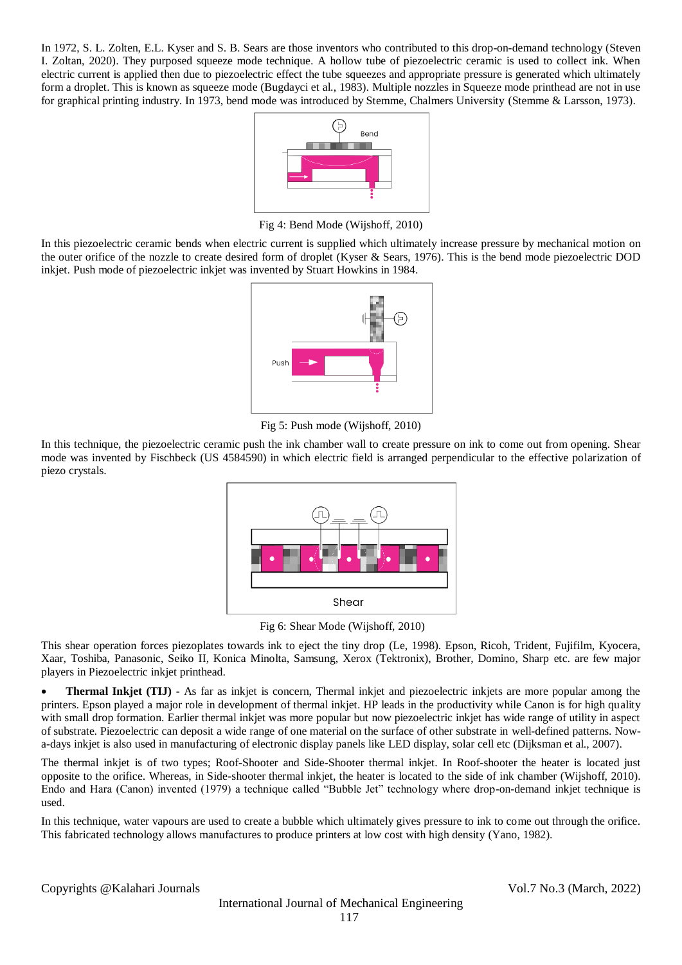In 1972, S. L. Zolten, E.L. Kyser and S. B. Sears are those inventors who contributed to this drop-on-demand technology (Steven I. Zoltan, 2020). They purposed squeeze mode technique. A hollow tube of piezoelectric ceramic is used to collect ink. When electric current is applied then due to piezoelectric effect the tube squeezes and appropriate pressure is generated which ultimately form a droplet. This is known as squeeze mode (Bugdayci et al., 1983)*.* Multiple nozzles in Squeeze mode printhead are not in use for graphical printing industry. In 1973, bend mode was introduced by Stemme, Chalmers University (Stemme & Larsson, 1973).



Fig 4: Bend Mode (Wijshoff, 2010)

In this piezoelectric ceramic bends when electric current is supplied which ultimately increase pressure by mechanical motion on the outer orifice of the nozzle to create desired form of droplet (Kyser & Sears, 1976). This is the bend mode piezoelectric DOD inkjet. Push mode of piezoelectric inkjet was invented by Stuart Howkins in 1984.



Fig 5: Push mode (Wijshoff, 2010)

In this technique, the piezoelectric ceramic push the ink chamber wall to create pressure on ink to come out from opening. Shear mode was invented by Fischbeck (US 4584590) in which electric field is arranged perpendicular to the effective polarization of piezo crystals.



Fig 6: Shear Mode (Wijshoff, 2010)

This shear operation forces piezoplates towards ink to eject the tiny drop (Le, 1998). Epson, Ricoh, Trident, Fujifilm, Kyocera, Xaar, Toshiba, Panasonic, Seiko II, Konica Minolta, Samsung, Xerox (Tektronix), Brother, Domino, Sharp etc. are few major players in Piezoelectric inkjet printhead.

 **Thermal Inkjet (TIJ) -** As far as inkjet is concern, Thermal inkjet and piezoelectric inkjets are more popular among the printers. Epson played a major role in development of thermal inkjet. HP leads in the productivity while Canon is for high quality with small drop formation. Earlier thermal inkjet was more popular but now piezoelectric inkjet has wide range of utility in aspect of substrate. Piezoelectric can deposit a wide range of one material on the surface of other substrate in well-defined patterns. Nowa-days inkjet is also used in manufacturing of electronic display panels like LED display, solar cell etc (Dijksman et al., 2007).

The thermal inkjet is of two types; Roof-Shooter and Side-Shooter thermal inkjet. In Roof-shooter the heater is located just opposite to the orifice. Whereas, in Side-shooter thermal inkjet, the heater is located to the side of ink chamber (Wijshoff, 2010). Endo and Hara (Canon) invented (1979) a technique called "Bubble Jet" technology where drop-on-demand inkjet technique is used.

In this technique, water vapours are used to create a bubble which ultimately gives pressure to ink to come out through the orifice. This fabricated technology allows manufactures to produce printers at low cost with high density (Yano, 1982).

Copyrights @Kalahari Journals Vol.7 No.3 (March, 2022)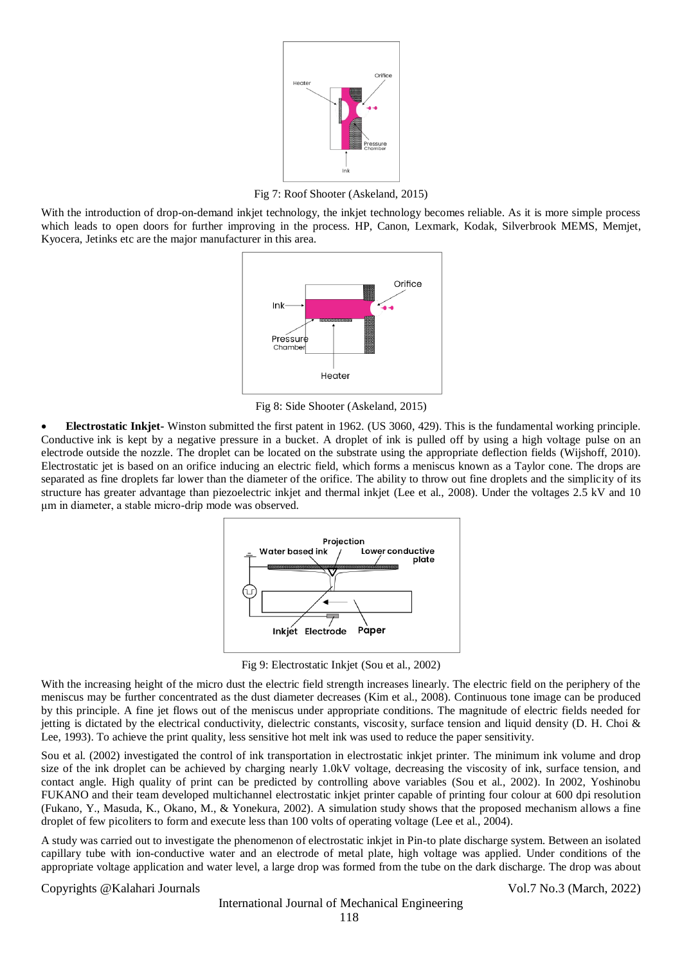

Fig 7: Roof Shooter (Askeland, 2015)

With the introduction of drop-on-demand inkjet technology, the inkjet technology becomes reliable. As it is more simple process which leads to open doors for further improving in the process. HP, Canon, Lexmark, Kodak, Silverbrook MEMS, Memjet, Kyocera, Jetinks etc are the major manufacturer in this area.



Fig 8: Side Shooter (Askeland, 2015)

 **Electrostatic Inkjet-** Winston submitted the first patent in 1962. (US 3060, 429). This is the fundamental working principle. Conductive ink is kept by a negative pressure in a bucket. A droplet of ink is pulled off by using a high voltage pulse on an electrode outside the nozzle. The droplet can be located on the substrate using the appropriate deflection fields (Wijshoff, 2010). Electrostatic jet is based on an orifice inducing an electric field, which forms a meniscus known as a Taylor cone. The drops are separated as fine droplets far lower than the diameter of the orifice. The ability to throw out fine droplets and the simplicity of its structure has greater advantage than piezoelectric inkjet and thermal inkjet (Lee et al., 2008). Under the voltages 2.5 kV and 10 μm in diameter, a stable micro-drip mode was observed.



Fig 9: Electrostatic Inkjet (Sou et al., 2002)

With the increasing height of the micro dust the electric field strength increases linearly. The electric field on the periphery of the meniscus may be further concentrated as the dust diameter decreases (Kim et al., 2008). Continuous tone image can be produced by this principle. A fine jet flows out of the meniscus under appropriate conditions. The magnitude of electric fields needed for jetting is dictated by the electrical conductivity, dielectric constants, viscosity, surface tension and liquid density (D. H. Choi & Lee, 1993). To achieve the print quality, less sensitive hot melt ink was used to reduce the paper sensitivity.

Sou et al. (2002) investigated the control of ink transportation in electrostatic inkjet printer. The minimum ink volume and drop size of the ink droplet can be achieved by charging nearly 1.0kV voltage, decreasing the viscosity of ink, surface tension, and contact angle. High quality of print can be predicted by controlling above variables (Sou et al., 2002). In 2002, Yoshinobu FUKANO and their team developed multichannel electrostatic inkjet printer capable of printing four colour at 600 dpi resolution (Fukano, Y., Masuda, K., Okano, M., & Yonekura, 2002). A simulation study shows that the proposed mechanism allows a fine droplet of few picoliters to form and execute less than 100 volts of operating voltage (Lee et al., 2004).

A study was carried out to investigate the phenomenon of electrostatic inkjet in Pin-to plate discharge system. Between an isolated capillary tube with ion-conductive water and an electrode of metal plate, high voltage was applied. Under conditions of the appropriate voltage application and water level, a large drop was formed from the tube on the dark discharge. The drop was about

Copyrights @Kalahari Journals Vol.7 No.3 (March, 2022)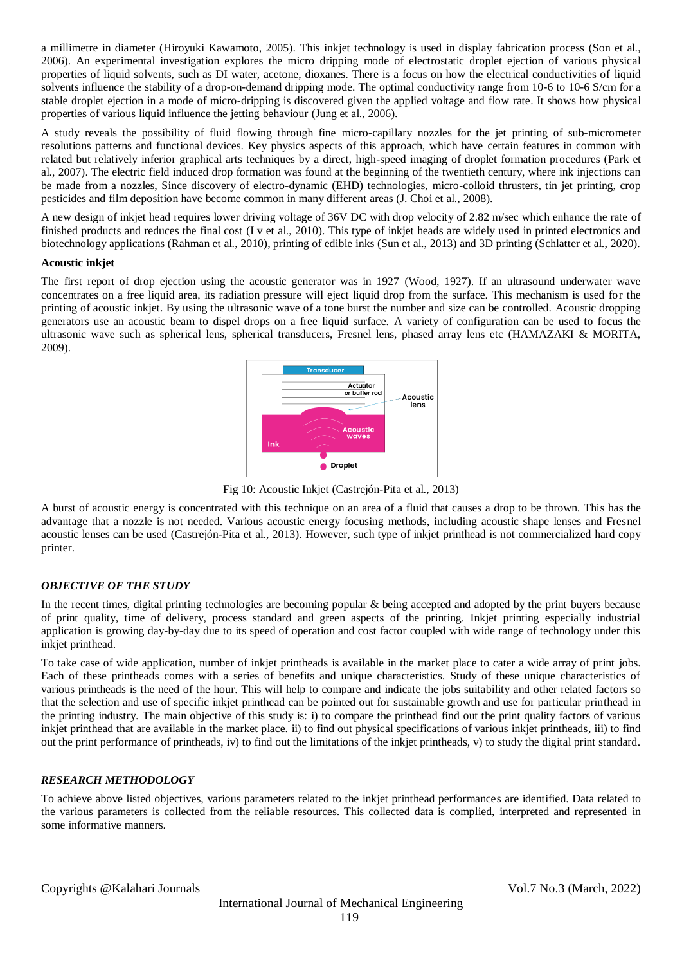a millimetre in diameter (Hiroyuki Kawamoto, 2005). This inkjet technology is used in display fabrication process (Son et al., 2006). An experimental investigation explores the micro dripping mode of electrostatic droplet ejection of various physical properties of liquid solvents, such as DI water, acetone, dioxanes. There is a focus on how the electrical conductivities of liquid solvents influence the stability of a drop-on-demand dripping mode. The optimal conductivity range from 10-6 to 10-6 S/cm for a stable droplet ejection in a mode of micro-dripping is discovered given the applied voltage and flow rate. It shows how physical properties of various liquid influence the jetting behaviour (Jung et al., 2006).

A study reveals the possibility of fluid flowing through fine micro-capillary nozzles for the jet printing of sub-micrometer resolutions patterns and functional devices. Key physics aspects of this approach, which have certain features in common with related but relatively inferior graphical arts techniques by a direct, high-speed imaging of droplet formation procedures (Park et al., 2007). The electric field induced drop formation was found at the beginning of the twentieth century, where ink injections can be made from a nozzles, Since discovery of electro-dynamic (EHD) technologies, micro-colloid thrusters, tin jet printing, crop pesticides and film deposition have become common in many different areas (J. Choi et al., 2008).

A new design of inkjet head requires lower driving voltage of 36V DC with drop velocity of 2.82 m/sec which enhance the rate of finished products and reduces the final cost (Lv et al., 2010). This type of inkjet heads are widely used in printed electronics and biotechnology applications (Rahman et al., 2010), printing of edible inks (Sun et al., 2013) and 3D printing (Schlatter et al., 2020).

## **Acoustic inkjet**

The first report of drop ejection using the acoustic generator was in 1927 (Wood, 1927). If an ultrasound underwater wave concentrates on a free liquid area, its radiation pressure will eject liquid drop from the surface. This mechanism is used for the printing of acoustic inkjet. By using the ultrasonic wave of a tone burst the number and size can be controlled. Acoustic dropping generators use an acoustic beam to dispel drops on a free liquid surface. A variety of configuration can be used to focus the ultrasonic wave such as spherical lens, spherical transducers, Fresnel lens, phased array lens etc (HAMAZAKI & MORITA, 2009).



Fig 10: Acoustic Inkjet (Castrejón-Pita et al., 2013)

A burst of acoustic energy is concentrated with this technique on an area of a fluid that causes a drop to be thrown. This has the advantage that a nozzle is not needed. Various acoustic energy focusing methods, including acoustic shape lenses and Fresnel acoustic lenses can be used (Castrejón-Pita et al., 2013). However, such type of inkjet printhead is not commercialized hard copy printer.

## *OBJECTIVE OF THE STUDY*

In the recent times, digital printing technologies are becoming popular & being accepted and adopted by the print buyers because of print quality, time of delivery, process standard and green aspects of the printing. Inkjet printing especially industrial application is growing day-by-day due to its speed of operation and cost factor coupled with wide range of technology under this inkjet printhead.

To take case of wide application, number of inkjet printheads is available in the market place to cater a wide array of print jobs. Each of these printheads comes with a series of benefits and unique characteristics. Study of these unique characteristics of various printheads is the need of the hour. This will help to compare and indicate the jobs suitability and other related factors so that the selection and use of specific inkjet printhead can be pointed out for sustainable growth and use for particular printhead in the printing industry. The main objective of this study is: i) to compare the printhead find out the print quality factors of various inkjet printhead that are available in the market place. ii) to find out physical specifications of various inkjet printheads, iii) to find out the print performance of printheads, iv) to find out the limitations of the inkjet printheads, v) to study the digital print standard.

## *RESEARCH METHODOLOGY*

To achieve above listed objectives, various parameters related to the inkjet printhead performances are identified. Data related to the various parameters is collected from the reliable resources. This collected data is complied, interpreted and represented in some informative manners.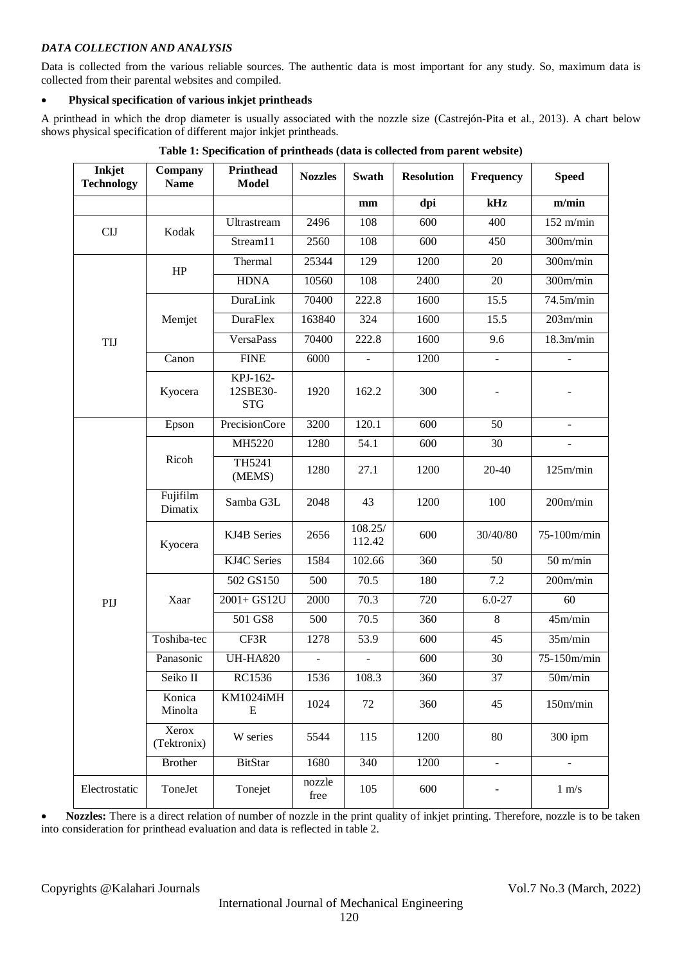## *DATA COLLECTION AND ANALYSIS*

Data is collected from the various reliable sources. The authentic data is most important for any study. So, maximum data is collected from their parental websites and compiled.

# **Physical specification of various inkjet printheads**

A printhead in which the drop diameter is usually associated with the nozzle size (Castrejón-Pita et al., 2013). A chart below shows physical specification of different major inkjet printheads.

| Inkjet<br><b>Technology</b> | Company<br><b>Name</b> | <b>Printhead</b><br><b>Model</b>   | <b>Nozzles</b> | Swath                    | <b>Resolution</b> | Frequency      | <b>Speed</b>             |
|-----------------------------|------------------------|------------------------------------|----------------|--------------------------|-------------------|----------------|--------------------------|
|                             |                        |                                    |                | mm                       | dpi               | kHz            | m/min                    |
| <b>CIJ</b>                  | Kodak                  | Ultrastream                        | 2496           | 108                      | 600               | 400            | $152$ m/min              |
|                             |                        | Stream11                           | 2560           | 108                      | $\overline{600}$  | 450            | 300m/min                 |
|                             | HP                     | Thermal                            | 25344          | 129                      | 1200              | 20             | 300m/min                 |
|                             |                        | <b>HDNA</b>                        | 10560          | 108                      | 2400              | 20             | 300m/min                 |
|                             |                        | <b>DuraLink</b>                    | 70400          | 222.8                    | 1600              | 15.5           | 74.5m/min                |
|                             | Memjet                 | <b>DuraFlex</b>                    | 163840         | 324                      | 1600              | 15.5           | 203m/min                 |
| TIJ                         |                        | <b>VersaPass</b>                   | 70400          | 222.8                    | 1600              | 9.6            | 18.3m/min                |
|                             | Canon                  | <b>FINE</b>                        | 6000           |                          | 1200              | $\overline{a}$ |                          |
|                             | Kyocera                | KPJ-162-<br>12SBE30-<br><b>STG</b> | 1920           | 162.2                    | 300               |                |                          |
|                             | Epson                  | <b>PrecisionCore</b>               | 3200           | 120.1                    | 600               | 50             | $\overline{\phantom{0}}$ |
|                             | Ricoh                  | MH5220                             | 1280           | 54.1                     | 600               | 30             |                          |
|                             |                        | TH5241<br>(MEMS)                   | 1280           | 27.1                     | 1200              | 20-40          | 125m/min                 |
|                             | Fujifilm<br>Dimatix    | Samba G3L                          | 2048           | 43                       | 1200              | 100            | 200m/min                 |
|                             | Kyocera                | KJ4B Series                        | 2656           | 108.25/<br>112.42        | 600               | 30/40/80       | 75-100m/min              |
|                             |                        | KJ4C Series                        | 1584           | 102.66                   | 360               | 50             | $50 \text{ m/min}$       |
|                             |                        | 502 GS150                          | 500            | 70.5                     | 180               | 7.2            | 200m/min                 |
| PIJ                         | Xaar                   | $2001 + GS12U$                     | 2000           | 70.3                     | 720               | $6.0 - 27$     | 60                       |
|                             |                        | 501 GS8                            | 500            | 70.5                     | 360               | $\overline{8}$ | 45m/min                  |
|                             | Toshiba-tec            | CF3R                               | 1278           | 53.9                     | 600               | 45             | 35m/min                  |
|                             | Panasonic              | <b>UH-HA820</b>                    | $\blacksquare$ | $\overline{\phantom{a}}$ | 600               | 30             | 75-150m/min              |
|                             | Seiko II               | RC1536                             | 1536           | 108.3                    | 360               | 37             | 50m/min                  |
|                             | Konica<br>Minolta      | KM1024iMH<br>E                     | 1024           | 72                       | 360               | 45             | 150m/min                 |
|                             | Xerox<br>(Tektronix)   | W series                           | 5544           | 115                      | 1200              | 80             | $300$ ipm                |
|                             | <b>Brother</b>         | <b>BitStar</b>                     | 1680           | 340                      | 1200              | $\overline{a}$ | $\blacksquare$           |
| Electrostatic               | ToneJet                | Tonejet                            | nozzle<br>free | 105                      | 600               |                | $1 \text{ m/s}$          |

**Table 1: Specification of printheads (data is collected from parent website)**

 **Nozzles:** There is a direct relation of number of nozzle in the print quality of inkjet printing. Therefore, nozzle is to be taken into consideration for printhead evaluation and data is reflected in table 2.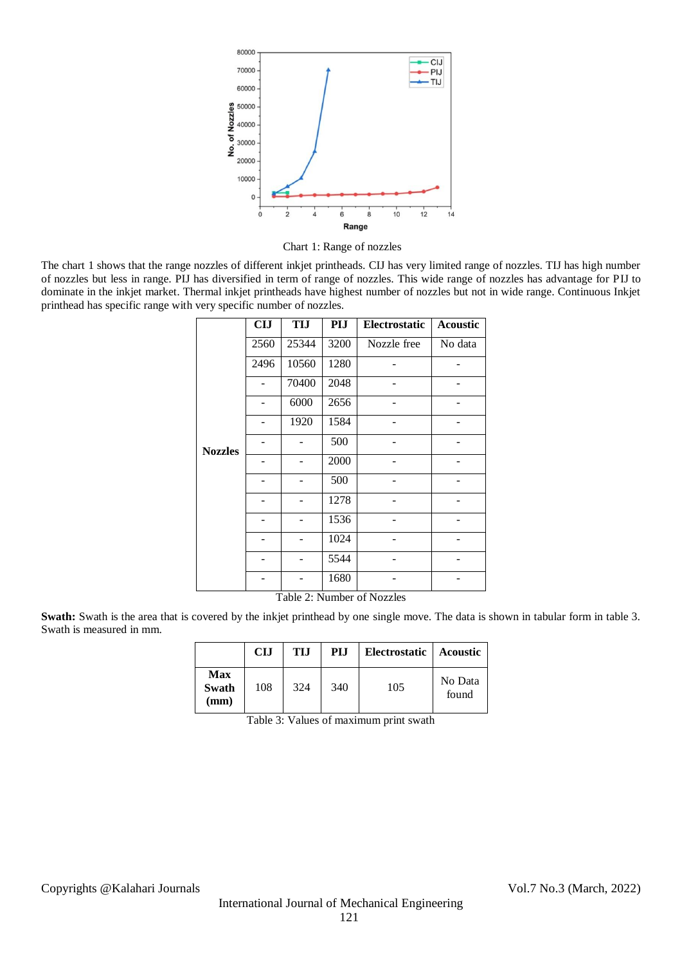

Chart 1: Range of nozzles

The chart 1 shows that the range nozzles of different inkjet printheads. CIJ has very limited range of nozzles. TIJ has high number of nozzles but less in range. PIJ has diversified in term of range of nozzles. This wide range of nozzles has advantage for PIJ to dominate in the inkjet market. Thermal inkjet printheads have highest number of nozzles but not in wide range. Continuous Inkjet printhead has specific range with very specific number of nozzles.

|                | <b>CIJ</b> | <b>TIJ</b> | PIJ  | <b>Electrostatic</b> | <b>Acoustic</b> |
|----------------|------------|------------|------|----------------------|-----------------|
|                | 2560       | 25344      | 3200 | Nozzle free          | No data         |
|                | 2496       | 10560      | 1280 |                      |                 |
|                |            | 70400      | 2048 |                      |                 |
|                |            | 6000       | 2656 |                      |                 |
|                |            | 1920       | 1584 |                      |                 |
| <b>Nozzles</b> |            |            | 500  |                      |                 |
|                |            |            | 2000 |                      |                 |
|                |            |            | 500  |                      |                 |
|                |            |            | 1278 |                      |                 |
|                |            |            | 1536 |                      |                 |
|                |            |            | 1024 |                      |                 |
|                |            |            | 5544 |                      |                 |
|                |            |            | 1680 |                      |                 |

Table 2: Number of Nozzles

**Swath:** Swath is the area that is covered by the inkjet printhead by one single move. The data is shown in tabular form in table 3. Swath is measured in mm.

|                                 | CLI | <b>TIJ</b> | PI.I | <b>Electrostatic</b> | Acoustic         |
|---------------------------------|-----|------------|------|----------------------|------------------|
| Max<br>Swath<br>$(\mathbf{mm})$ | 108 | 324        | 340  | 105                  | No Data<br>found |

Table 3: Values of maximum print swath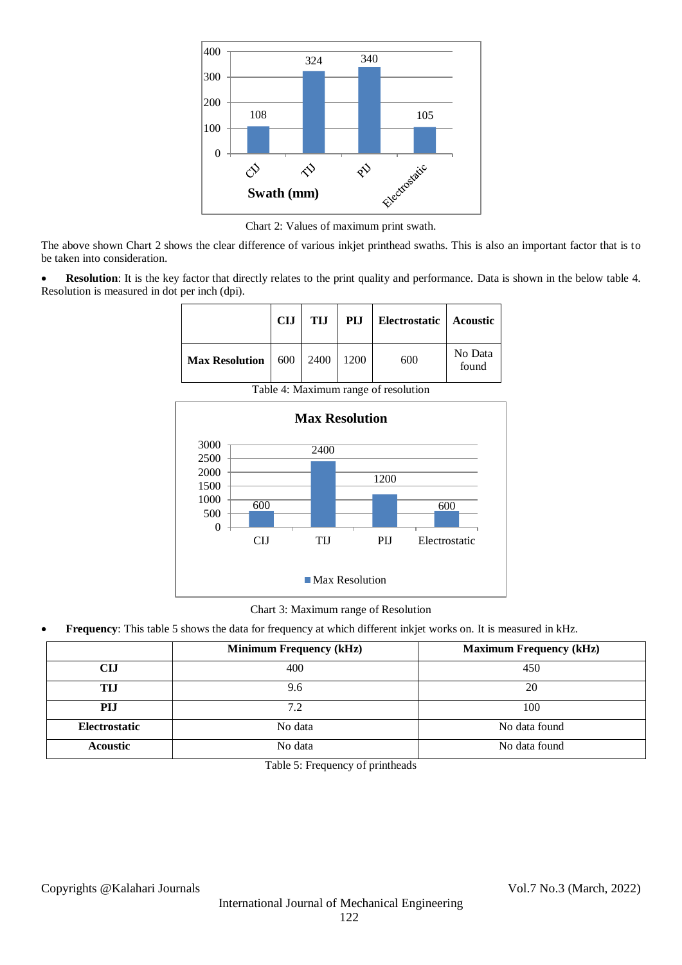

Chart 2: Values of maximum print swath.

The above shown Chart 2 shows the clear difference of various inkjet printhead swaths. This is also an important factor that is to be taken into consideration.

**Resolution**: It is the key factor that directly relates to the print quality and performance. Data is shown in the below table 4. Resolution is measured in dot per inch (dpi).

|                                        | <b>CIJ</b> | TI.I | PIJ  | Electrostatic   Acoustic |                  |
|----------------------------------------|------------|------|------|--------------------------|------------------|
| <b>Max Resolution</b>   $600$   $2400$ |            |      | 1200 | 600                      | No Data<br>found |



Table 4: Maximum range of resolution

Chart 3: Maximum range of Resolution

**Frequency**: This table 5 shows the data for frequency at which different inkjet works on. It is measured in kHz.

|                      | <b>Minimum Frequency (kHz)</b> | <b>Maximum Frequency (kHz)</b> |
|----------------------|--------------------------------|--------------------------------|
| CIJ                  | 400                            | 450                            |
| TIJ                  | 9.6                            | 20                             |
| PIJ                  | 7.2                            | 100                            |
| <b>Electrostatic</b> | No data                        | No data found                  |
| <b>Acoustic</b>      | No data                        | No data found                  |

Table 5: Frequency of printheads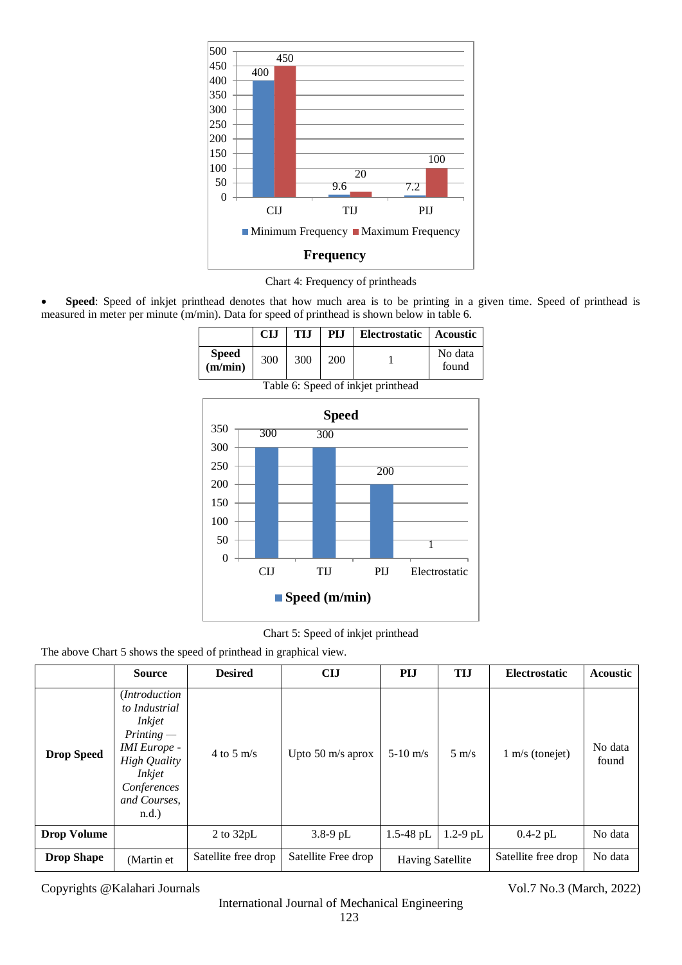

Chart 4: Frequency of printheads

 **Speed**: Speed of inkjet printhead denotes that how much area is to be printing in a given time. Speed of printhead is measured in meter per minute (m/min). Data for speed of printhead is shown below in table 6.

|                         | <b>CIJ</b> | TIJ. | PI.I | Electrostatic   Acoustic |                  |
|-------------------------|------------|------|------|--------------------------|------------------|
| <b>Speed</b><br>(m/min) | 300        | 300  | 200  |                          | No data<br>found |



Table 6: Speed of inkjet printhead

Chart 5: Speed of inkjet printhead

The above Chart 5 shows the speed of printhead in graphical view.

|                    | <b>Source</b>                                                                                                                                                             | <b>Desired</b>      | <b>CIJ</b>          | <b>PIJ</b>              | <b>TIJ</b>      | Electrostatic             | <b>Acoustic</b>  |
|--------------------|---------------------------------------------------------------------------------------------------------------------------------------------------------------------------|---------------------|---------------------|-------------------------|-----------------|---------------------------|------------------|
| <b>Drop Speed</b>  | (Introduction<br>to Industrial<br><i>Inkjet</i><br>$Printing$ —<br><b>IMI</b> Europe -<br><b>High Quality</b><br><i>Inkjet</i><br>Conferences<br>and Courses,<br>$n.d.$ ) | 4 to 5 m/s          | Upto 50 m/s aprox   | $5-10$ m/s              | $5 \text{ m/s}$ | $1 \text{ m/s}$ (tonejet) | No data<br>found |
| <b>Drop Volume</b> |                                                                                                                                                                           | 2 to $32pL$         | $3.8-9$ pL          | $1.5 - 48$ pL           | $1.2 - 9$ pL    | $0.4-2$ pL                | No data          |
| <b>Drop Shape</b>  | (Martin et                                                                                                                                                                | Satellite free drop | Satellite Free drop | <b>Having Satellite</b> |                 | Satellite free drop       | No data          |

Copyrights @Kalahari Journals Vol.7 No.3 (March, 2022)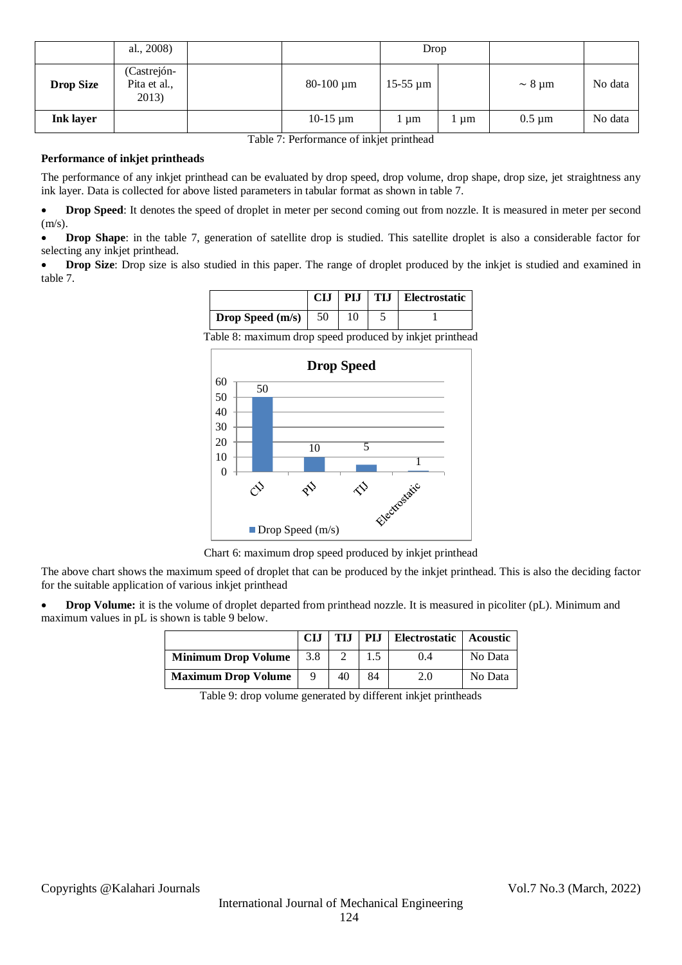|                  | al., 2008)                           |                | Drop          |      |                              |         |
|------------------|--------------------------------------|----------------|---------------|------|------------------------------|---------|
| <b>Drop Size</b> | (Castrejón-<br>Pita et al.,<br>2013) | $80-100 \mu m$ | $15-55 \mu m$ |      | $\sim 8 \text{ }\mu\text{m}$ | No data |
| <b>Ink layer</b> |                                      | $10-15 \mu m$  | 1 um          | l µm | $0.5 \mu m$                  | No data |

Table 7: Performance of inkjet printhead

## **Performance of inkjet printheads**

The performance of any inkjet printhead can be evaluated by drop speed, drop volume, drop shape, drop size, jet straightness any ink layer. Data is collected for above listed parameters in tabular format as shown in table 7.

 **Drop Speed**: It denotes the speed of droplet in meter per second coming out from nozzle. It is measured in meter per second  $(m/s)$ .

 **Drop Shape**: in the table 7, generation of satellite drop is studied. This satellite droplet is also a considerable factor for selecting any inkjet printhead.

 **Drop Size**: Drop size is also studied in this paper. The range of droplet produced by the inkjet is studied and examined in table 7.

|                                |  | CIJ   PIJ   TIJ   Electrostatic |
|--------------------------------|--|---------------------------------|
| <b>Drop Speed</b> $(m/s)$   50 |  |                                 |

Table 8: maximum drop speed produced by inkjet printhead



Chart 6: maximum drop speed produced by inkjet printhead

The above chart shows the maximum speed of droplet that can be produced by the inkjet printhead. This is also the deciding factor for the suitable application of various inkjet printhead

**Drop Volume:** it is the volume of droplet departed from printhead nozzle. It is measured in picoliter (pL). Minimum and maximum values in pL is shown is table 9 below.

|                            | <b>CIJ</b> | <b>TIJ</b> | PIJ | Electrostatic   Acoustic |         |
|----------------------------|------------|------------|-----|--------------------------|---------|
| <b>Minimum Drop Volume</b> | 3.8        |            |     | 0.4                      | No Data |
| <b>Maximum Drop Volume</b> |            | 40         | 84  | 2.0                      | No Data |

Table 9: drop volume generated by different inkjet printheads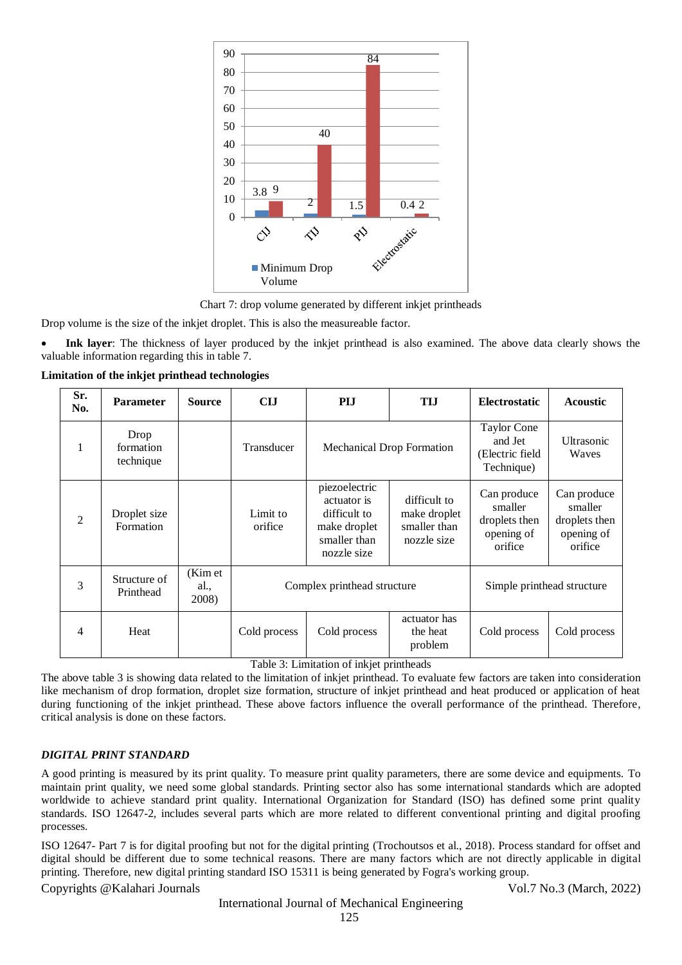



Drop volume is the size of the inkjet droplet. This is also the measureable factor.

 **Ink layer**: The thickness of layer produced by the inkjet printhead is also examined. The above data clearly shows the valuable information regarding this in table 7.

**Limitation of the inkjet printhead technologies**

| Sr.<br>No.     | <b>Parameter</b>               | <b>Source</b>            | <b>CIJ</b>                  | <b>PIJ</b>                                                                                  | <b>TIJ</b>                                                  | <b>Electrostatic</b>                                             | <b>Acoustic</b>                                                  |  |
|----------------|--------------------------------|--------------------------|-----------------------------|---------------------------------------------------------------------------------------------|-------------------------------------------------------------|------------------------------------------------------------------|------------------------------------------------------------------|--|
| 1              | Drop<br>formation<br>technique |                          | Transducer                  | <b>Mechanical Drop Formation</b>                                                            |                                                             | Taylor Cone<br>and Jet<br>(Electric field<br>Technique)          | Ultrasonic<br>Waves                                              |  |
| $\mathfrak{D}$ | Droplet size<br>Formation      |                          | Limit to<br>orifice         | piezoelectric<br>actuator is<br>difficult to<br>make droplet<br>smaller than<br>nozzle size | difficult to<br>make droplet<br>smaller than<br>nozzle size | Can produce<br>smaller<br>droplets then<br>opening of<br>orifice | Can produce<br>smaller<br>droplets then<br>opening of<br>orifice |  |
| 3              | Structure of<br>Printhead      | (Kim et<br>al.,<br>2008) | Complex printhead structure |                                                                                             |                                                             | Simple printhead structure                                       |                                                                  |  |
| 4              | Heat                           |                          | Cold process                | Cold process                                                                                | actuator has<br>the heat<br>problem                         | Cold process                                                     | Cold process                                                     |  |

Table 3: Limitation of inkjet printheads

The above table 3 is showing data related to the limitation of inkjet printhead. To evaluate few factors are taken into consideration like mechanism of drop formation, droplet size formation, structure of inkjet printhead and heat produced or application of heat during functioning of the inkjet printhead. These above factors influence the overall performance of the printhead. Therefore, critical analysis is done on these factors.

# *DIGITAL PRINT STANDARD*

A good printing is measured by its print quality. To measure print quality parameters, there are some device and equipments. To maintain print quality, we need some global standards. Printing sector also has some international standards which are adopted worldwide to achieve standard print quality. International Organization for Standard (ISO) has defined some print quality standards. ISO 12647-2, includes several parts which are more related to different conventional printing and digital proofing processes.

ISO 12647- Part 7 is for digital proofing but not for the digital printing (Trochoutsos et al., 2018). Process standard for offset and digital should be different due to some technical reasons. There are many factors which are not directly applicable in digital printing. Therefore, new digital printing standard ISO 15311 is being generated by Fogra's working group.

Copyrights @Kalahari Journals Vol.7 No.3 (March, 2022)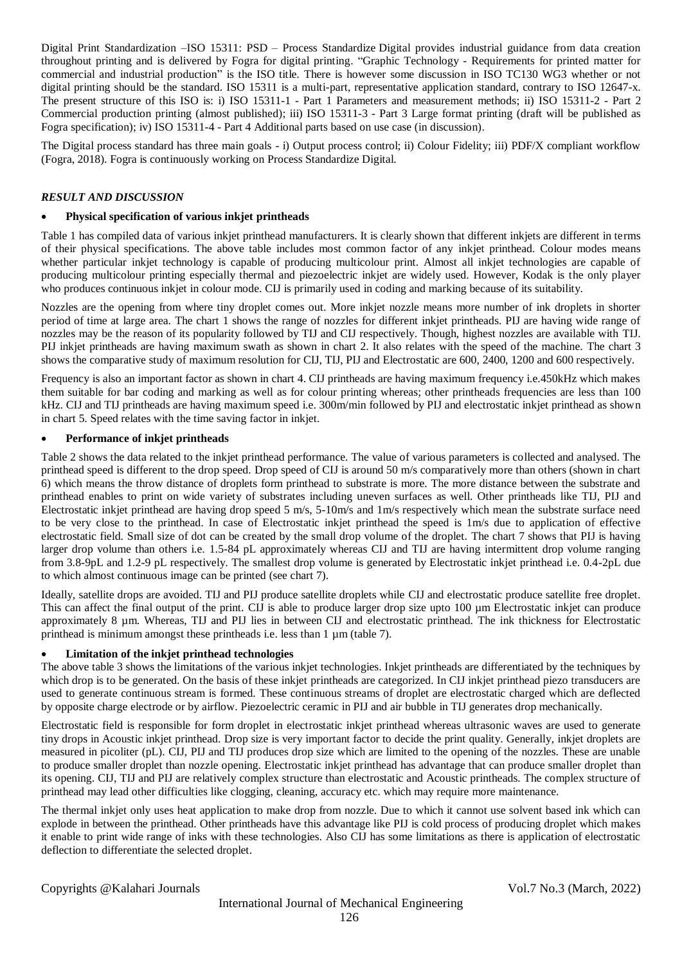Digital Print Standardization –ISO 15311: PSD – Process Standardize Digital provides industrial guidance from data creation throughout printing and is delivered by Fogra for digital printing. "Graphic Technology - Requirements for printed matter for commercial and industrial production" is the ISO title. There is however some discussion in ISO TC130 WG3 whether or not digital printing should be the standard. ISO 15311 is a multi-part, representative application standard, contrary to ISO 12647-x. The present structure of this ISO is: i) ISO 15311-1 - Part 1 Parameters and measurement methods; ii) ISO 15311-2 - Part 2 Commercial production printing (almost published); iii) ISO 15311-3 - Part 3 Large format printing (draft will be published as Fogra specification); iv) ISO 15311-4 - Part 4 Additional parts based on use case (in discussion).

The Digital process standard has three main goals - i) Output process control; ii) Colour Fidelity; iii) PDF/X compliant workflow (Fogra, 2018). Fogra is continuously working on Process Standardize Digital.

## *RESULT AND DISCUSSION*

## **Physical specification of various inkjet printheads**

Table 1 has compiled data of various inkjet printhead manufacturers. It is clearly shown that different inkjets are different in terms of their physical specifications. The above table includes most common factor of any inkjet printhead. Colour modes means whether particular inkjet technology is capable of producing multicolour print. Almost all inkjet technologies are capable of producing multicolour printing especially thermal and piezoelectric inkjet are widely used. However, Kodak is the only player who produces continuous inkjet in colour mode. CIJ is primarily used in coding and marking because of its suitability.

Nozzles are the opening from where tiny droplet comes out. More inkjet nozzle means more number of ink droplets in shorter period of time at large area. The chart 1 shows the range of nozzles for different inkjet printheads. PIJ are having wide range of nozzles may be the reason of its popularity followed by TIJ and CIJ respectively. Though, highest nozzles are available with TIJ. PIJ inkjet printheads are having maximum swath as shown in chart 2. It also relates with the speed of the machine. The chart 3 shows the comparative study of maximum resolution for CIJ, TIJ, PIJ and Electrostatic are 600, 2400, 1200 and 600 respectively.

Frequency is also an important factor as shown in chart 4. CIJ printheads are having maximum frequency i.e.450kHz which makes them suitable for bar coding and marking as well as for colour printing whereas; other printheads frequencies are less than 100 kHz. CIJ and TIJ printheads are having maximum speed i.e. 300m/min followed by PIJ and electrostatic inkjet printhead as shown in chart 5. Speed relates with the time saving factor in inkjet.

### **Performance of inkjet printheads**

Table 2 shows the data related to the inkjet printhead performance. The value of various parameters is collected and analysed. The printhead speed is different to the drop speed. Drop speed of CIJ is around 50 m/s comparatively more than others (shown in chart 6) which means the throw distance of droplets form printhead to substrate is more. The more distance between the substrate and printhead enables to print on wide variety of substrates including uneven surfaces as well. Other printheads like TIJ, PIJ and Electrostatic inkjet printhead are having drop speed 5 m/s, 5-10m/s and 1m/s respectively which mean the substrate surface need to be very close to the printhead. In case of Electrostatic inkjet printhead the speed is 1m/s due to application of effective electrostatic field. Small size of dot can be created by the small drop volume of the droplet. The chart 7 shows that PIJ is having larger drop volume than others i.e. 1.5-84 pL approximately whereas CIJ and TIJ are having intermittent drop volume ranging from 3.8-9pL and 1.2-9 pL respectively. The smallest drop volume is generated by Electrostatic inkjet printhead i.e. 0.4-2pL due to which almost continuous image can be printed (see chart 7).

Ideally, satellite drops are avoided. TIJ and PIJ produce satellite droplets while CIJ and electrostatic produce satellite free droplet. This can affect the final output of the print. CIJ is able to produce larger drop size upto 100 µm Electrostatic inkjet can produce approximately 8 µm. Whereas, TIJ and PIJ lies in between CIJ and electrostatic printhead. The ink thickness for Electrostatic printhead is minimum amongst these printheads i.e. less than 1  $\mu$ m (table 7).

## **Limitation of the inkjet printhead technologies**

The above table 3 shows the limitations of the various inkjet technologies. Inkjet printheads are differentiated by the techniques by which drop is to be generated. On the basis of these inkjet printheads are categorized. In CIJ inkjet printhead piezo transducers are used to generate continuous stream is formed. These continuous streams of droplet are electrostatic charged which are deflected by opposite charge electrode or by airflow. Piezoelectric ceramic in PIJ and air bubble in TIJ generates drop mechanically.

Electrostatic field is responsible for form droplet in electrostatic inkjet printhead whereas ultrasonic waves are used to generate tiny drops in Acoustic inkjet printhead. Drop size is very important factor to decide the print quality. Generally, inkjet droplets are measured in picoliter (pL). CIJ, PIJ and TIJ produces drop size which are limited to the opening of the nozzles. These are unable to produce smaller droplet than nozzle opening. Electrostatic inkjet printhead has advantage that can produce smaller droplet than its opening. CIJ, TIJ and PIJ are relatively complex structure than electrostatic and Acoustic printheads. The complex structure of printhead may lead other difficulties like clogging, cleaning, accuracy etc. which may require more maintenance.

The thermal inkjet only uses heat application to make drop from nozzle. Due to which it cannot use solvent based ink which can explode in between the printhead. Other printheads have this advantage like PIJ is cold process of producing droplet which makes it enable to print wide range of inks with these technologies. Also CIJ has some limitations as there is application of electrostatic deflection to differentiate the selected droplet.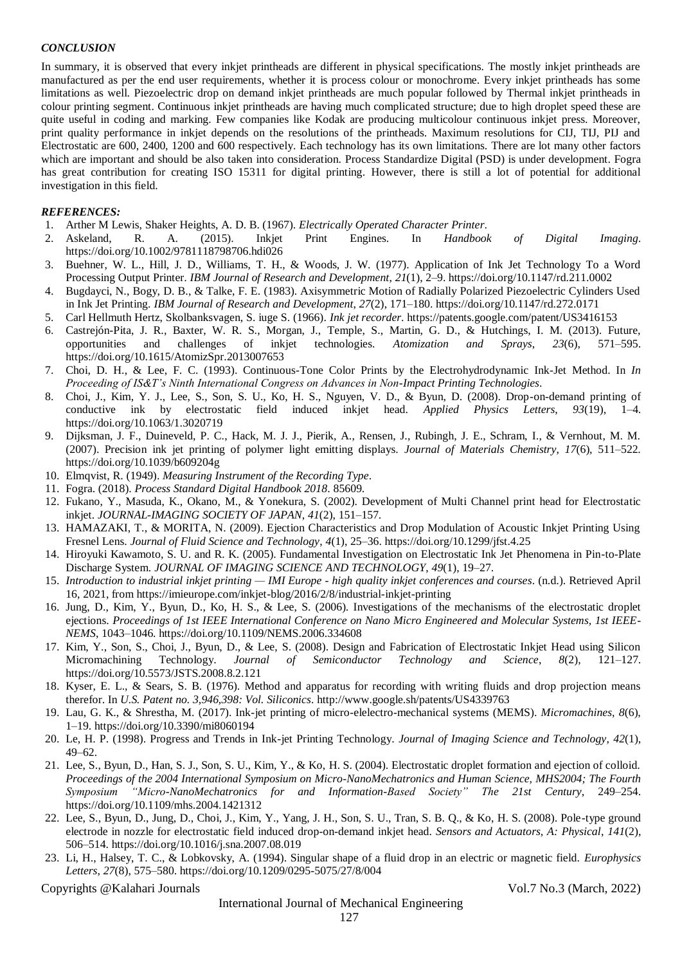## *CONCLUSION*

In summary, it is observed that every inkjet printheads are different in physical specifications. The mostly inkjet printheads are manufactured as per the end user requirements, whether it is process colour or monochrome. Every inkjet printheads has some limitations as well. Piezoelectric drop on demand inkjet printheads are much popular followed by Thermal inkjet printheads in colour printing segment. Continuous inkjet printheads are having much complicated structure; due to high droplet speed these are quite useful in coding and marking. Few companies like Kodak are producing multicolour continuous inkjet press. Moreover, print quality performance in inkjet depends on the resolutions of the printheads. Maximum resolutions for CIJ, TIJ, PIJ and Electrostatic are 600, 2400, 1200 and 600 respectively. Each technology has its own limitations. There are lot many other factors which are important and should be also taken into consideration. Process Standardize Digital (PSD) is under development. Fogra has great contribution for creating ISO 15311 for digital printing. However, there is still a lot of potential for additional investigation in this field.

## *REFERENCES:*

- 1. Arther M Lewis, Shaker Heights, A. D. B. (1967). *Electrically Operated Character Printer*.
- 2. Askeland, R. A. (2015). Inkjet Print Engines. In *Handbook of Digital Imaging*. https://doi.org/10.1002/9781118798706.hdi026
- 3. Buehner, W. L., Hill, J. D., Williams, T. H., & Woods, J. W. (1977). Application of Ink Jet Technology To a Word Processing Output Printer. *IBM Journal of Research and Development*, *21*(1), 2–9. https://doi.org/10.1147/rd.211.0002
- 4. Bugdayci, N., Bogy, D. B., & Talke, F. E. (1983). Axisymmetric Motion of Radially Polarized Piezoelectric Cylinders Used in Ink Jet Printing. *IBM Journal of Research and Development*, *27*(2), 171–180. https://doi.org/10.1147/rd.272.0171
- 5. Carl Hellmuth Hertz, Skolbanksvagen, S. iuge S. (1966). *Ink jet recorder*. https://patents.google.com/patent/US3416153
- 6. Castrejón-Pita, J. R., Baxter, W. R. S., Morgan, J., Temple, S., Martin, G. D., & Hutchings, I. M. (2013). Future, opportunities and challenges of inkjet technologies. *Atomization and Sprays*, *23*(6), 571–595. https://doi.org/10.1615/AtomizSpr.2013007653
- 7. Choi, D. H., & Lee, F. C. (1993). Continuous-Tone Color Prints by the Electrohydrodynamic Ink-Jet Method. In *In Proceeding of IS&T's Ninth International Congress on Advances in Non-Impact Printing Technologies*.
- 8. Choi, J., Kim, Y. J., Lee, S., Son, S. U., Ko, H. S., Nguyen, V. D., & Byun, D. (2008). Drop-on-demand printing of conductive ink by electrostatic field induced inkjet head. *Applied Physics Letters*, *93*(19), 1–4. https://doi.org/10.1063/1.3020719
- 9. Dijksman, J. F., Duineveld, P. C., Hack, M. J. J., Pierik, A., Rensen, J., Rubingh, J. E., Schram, I., & Vernhout, M. M. (2007). Precision ink jet printing of polymer light emitting displays. *Journal of Materials Chemistry*, *17*(6), 511–522. https://doi.org/10.1039/b609204g
- 10. Elmqvist, R. (1949). *Measuring Instrument of the Recording Type*.
- 11. Fogra. (2018). *Process Standard Digital Handbook 2018*. 85609.
- 12. Fukano, Y., Masuda, K., Okano, M., & Yonekura, S. (2002). Development of Multi Channel print head for Electrostatic inkjet. *JOURNAL-IMAGING SOCIETY OF JAPAN*, *41*(2), 151–157.
- 13. HAMAZAKI, T., & MORITA, N. (2009). Ejection Characteristics and Drop Modulation of Acoustic Inkjet Printing Using Fresnel Lens. *Journal of Fluid Science and Technology*, *4*(1), 25–36. https://doi.org/10.1299/jfst.4.25
- 14. Hiroyuki Kawamoto, S. U. and R. K. (2005). Fundamental Investigation on Electrostatic Ink Jet Phenomena in Pin-to-Plate Discharge System. *JOURNAL OF IMAGING SCIENCE AND TECHNOLOGY*, *49*(1), 19–27.
- 15. *Introduction to industrial inkjet printing — IMI Europe - high quality inkjet conferences and courses*. (n.d.). Retrieved April 16, 2021, from https://imieurope.com/inkjet-blog/2016/2/8/industrial-inkjet-printing
- 16. Jung, D., Kim, Y., Byun, D., Ko, H. S., & Lee, S. (2006). Investigations of the mechanisms of the electrostatic droplet ejections. *Proceedings of 1st IEEE International Conference on Nano Micro Engineered and Molecular Systems, 1st IEEE-NEMS*, 1043–1046. https://doi.org/10.1109/NEMS.2006.334608
- 17. Kim, Y., Son, S., Choi, J., Byun, D., & Lee, S. (2008). Design and Fabrication of Electrostatic Inkjet Head using Silicon Micromachining Technology. *Journal of Semiconductor Technology and Science*, *8*(2), 121–127. https://doi.org/10.5573/JSTS.2008.8.2.121
- 18. Kyser, E. L., & Sears, S. B. (1976). Method and apparatus for recording with writing fluids and drop projection means therefor. In *U.S. Patent no. 3,946,398: Vol. Siliconics*. http://www.google.sh/patents/US4339763
- 19. Lau, G. K., & Shrestha, M. (2017). Ink-jet printing of micro-elelectro-mechanical systems (MEMS). *Micromachines*, *8*(6), 1–19. https://doi.org/10.3390/mi8060194
- 20. Le, H. P. (1998). Progress and Trends in Ink-jet Printing Technology. *Journal of Imaging Science and Technology*, *42*(1), 49–62.
- 21. Lee, S., Byun, D., Han, S. J., Son, S. U., Kim, Y., & Ko, H. S. (2004). Electrostatic droplet formation and ejection of colloid. *Proceedings of the 2004 International Symposium on Micro-NanoMechatronics and Human Science, MHS2004; The Fourth Symposium "Micro-NanoMechatronics for and Information-Based Society" The 21st Century*, 249–254. https://doi.org/10.1109/mhs.2004.1421312
- 22. Lee, S., Byun, D., Jung, D., Choi, J., Kim, Y., Yang, J. H., Son, S. U., Tran, S. B. Q., & Ko, H. S. (2008). Pole-type ground electrode in nozzle for electrostatic field induced drop-on-demand inkjet head. *Sensors and Actuators, A: Physical*, *141*(2), 506–514. https://doi.org/10.1016/j.sna.2007.08.019
- 23. Li, H., Halsey, T. C., & Lobkovsky, A. (1994). Singular shape of a fluid drop in an electric or magnetic field. *Europhysics Letters*, *27*(8), 575–580. https://doi.org/10.1209/0295-5075/27/8/004

Copyrights @Kalahari Journals Vol.7 No.3 (March, 2022)